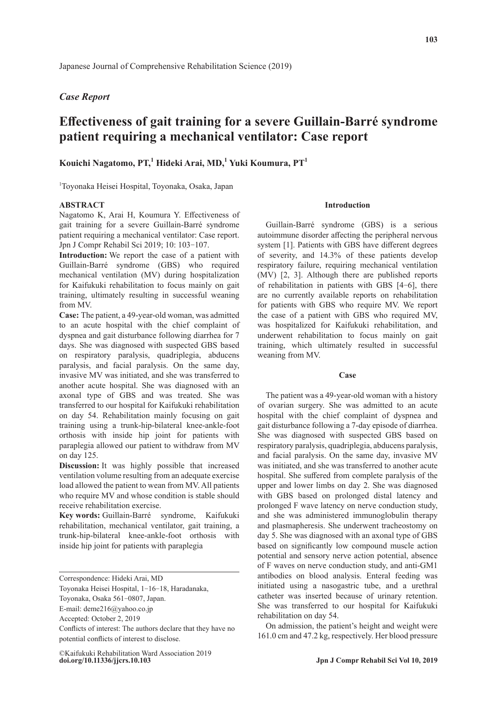# *Case Report*

# **Effectiveness of gait training for a severe Guillain-Barré syndrome patient requiring a mechanical ventilator: Case report**

# **Kouichi Nagatomo, PT,<sup>1</sup> Hideki Arai, MD,<sup>1</sup> Yuki Koumura, PT<sup>1</sup>**

1 Toyonaka Heisei Hospital, Toyonaka, Osaka, Japan

# **ABSTRACT**

Nagatomo K, Arai H, Koumura Y. Effectiveness of gait training for a severe Guillain-Barré syndrome patient requiring a mechanical ventilator: Case report. Jpn J Compr Rehabil Sci 2019; 10: 103‐107.

**Introduction:** We report the case of a patient with Guillain-Barré syndrome (GBS) who required mechanical ventilation (MV) during hospitalization for Kaifukuki rehabilitation to focus mainly on gait training, ultimately resulting in successful weaning from MV.

**Case:** The patient, a 49-year-old woman, was admitted to an acute hospital with the chief complaint of dyspnea and gait disturbance following diarrhea for 7 days. She was diagnosed with suspected GBS based on respiratory paralysis, quadriplegia, abducens paralysis, and facial paralysis. On the same day, invasive MV was initiated, and she was transferred to another acute hospital. She was diagnosed with an axonal type of GBS and was treated. She was transferred to our hospital for Kaifukuki rehabilitation on day 54. Rehabilitation mainly focusing on gait training using a trunk-hip-bilateral knee-ankle-foot orthosis with inside hip joint for patients with paraplegia allowed our patient to withdraw from MV on day 125.

**Discussion:** It was highly possible that increased ventilation volume resulting from an adequate exercise load allowed the patient to wean from MV. All patients who require MV and whose condition is stable should receive rehabilitation exercise.

**Key words:** Guillain-Barré syndrome, Kaifukuki rehabilitation, mechanical ventilator, gait training, a trunk-hip-bilateral knee-ankle-foot orthosis with inside hip joint for patients with paraplegia

#### **Introduction**

Guillain-Barré syndrome (GBS) is a serious autoimmune disorder affecting the peripheral nervous system [1]. Patients with GBS have different degrees of severity, and 14.3% of these patients develop respiratory failure, requiring mechanical ventilation (MV) [2, 3]. Although there are published reports of rehabilitation in patients with GBS [4‐6], there are no currently available reports on rehabilitation for patients with GBS who require MV. We report the case of a patient with GBS who required MV, was hospitalized for Kaifukuki rehabilitation, and underwent rehabilitation to focus mainly on gait training, which ultimately resulted in successful weaning from MV.

## **Case**

The patient was a 49-year-old woman with a history of ovarian surgery. She was admitted to an acute hospital with the chief complaint of dyspnea and gait disturbance following a 7-day episode of diarrhea. She was diagnosed with suspected GBS based on respiratory paralysis, quadriplegia, abducens paralysis, and facial paralysis. On the same day, invasive MV was initiated, and she was transferred to another acute hospital. She suffered from complete paralysis of the upper and lower limbs on day 2. She was diagnosed with GBS based on prolonged distal latency and prolonged F wave latency on nerve conduction study, and she was administered immunoglobulin therapy and plasmapheresis. She underwent tracheostomy on day 5. She was diagnosed with an axonal type of GBS based on significantly low compound muscle action potential and sensory nerve action potential, absence of F waves on nerve conduction study, and anti-GM1 antibodies on blood analysis. Enteral feeding was initiated using a nasogastric tube, and a urethral catheter was inserted because of urinary retention. She was transferred to our hospital for Kaifukuki rehabilitation on day 54.

On admission, the patient's height and weight were 161.0 cm and 47.2 kg, respectively. Her blood pressure

Correspondence: Hideki Arai, MD

Toyonaka Heisei Hospital, 1‐16‐18, Haradanaka,

Toyonaka, Osaka 561‐0807, Japan.

E-mail: deme216@yahoo.co.jp

Accepted: October 2, 2019

Conflicts of interest: The authors declare that they have no potential conflicts of interest to disclose.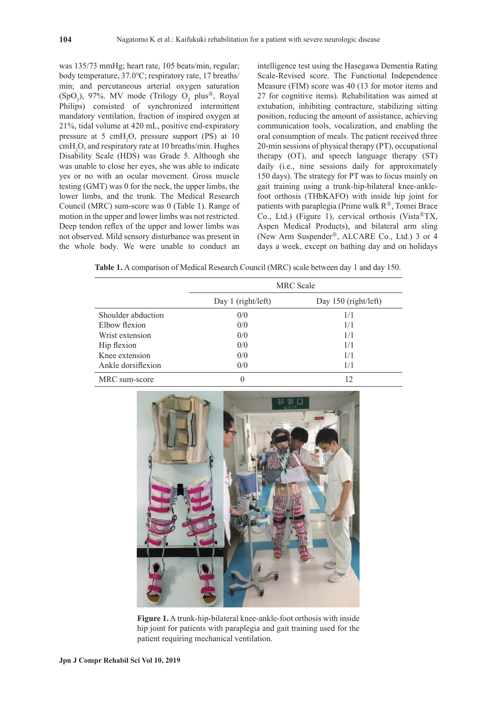was 135/73 mmHg; heart rate, 105 beats/min, regular; body temperature, 37.0℃; respiratory rate, 17 breaths/ min; and percutaneous arterial oxygen saturation  $(SpO<sub>2</sub>)$ , 97%. MV mode (Trilogy O<sub>2</sub> plus<sup>®</sup>, Royal Philips) consisted of synchronized intermittent mandatory ventilation, fraction of inspired oxygen at 21%, tidal volume at 420 mL, positive end-expiratory pressure at 5 cmH<sub>2</sub>O, pressure support (PS) at 10 cmH2 O, and respiratory rate at 10 breaths/min. Hughes Disability Scale (HDS) was Grade 5. Although she was unable to close her eyes, she was able to indicate yes or no with an ocular movement. Gross muscle testing (GMT) was 0 for the neck, the upper limbs, the lower limbs, and the trunk. The Medical Research Council (MRC) sum-score was 0 (Table 1). Range of motion in the upper and lower limbs was not restricted. Deep tendon reflex of the upper and lower limbs was not observed. Mild sensory disturbance was present in the whole body. We were unable to conduct an

intelligence test using the Hasegawa Dementia Rating Scale-Revised score. The Functional Independence Measure (FIM) score was 40 (13 for motor items and 27 for cognitive items). Rehabilitation was aimed at extubation, inhibiting contracture, stabilizing sitting position, reducing the amount of assistance, achieving communication tools, vocalization, and enabling the oral consumption of meals. The patient received three 20-min sessions of physical therapy (PT), occupational therapy (OT), and speech language therapy (ST) daily (i.e., nine sessions daily for approximately 150 days). The strategy for PT was to focus mainly on gait training using a trunk-hip-bilateral knee-anklefoot orthosis (THbKAFO) with inside hip joint for patients with paraplegia (Prime walk  $R^{\textcircled{R}}$ , Tomei Brace Co., Ltd.) (Figure 1), cervical orthosis (Vista ${}^{\circledR}TX$ , Aspen Medical Products), and bilateral arm sling (New Arm Suspender<sup>®</sup>, ALCARE Co., Ltd.) 3 or 4 days a week, except on bathing day and on holidays

**Table 1.** A comparison of Medical Research Council (MRC) scale between day 1 and day 150.

|                    | <b>MRC</b> Scale   |                      |  |
|--------------------|--------------------|----------------------|--|
|                    | Day 1 (right/left) | Day 150 (right/left) |  |
| Shoulder abduction | 0/0                | 1/1                  |  |
| Elbow flexion      | 0/0                | 1/1                  |  |
| Wrist extension    | 0/0                | 1/1                  |  |
| Hip flexion        | 0/0                | 1/1                  |  |
| Knee extension     | 0/0                | 1/1                  |  |
| Ankle dorsiflexion | 0/0                | 1/1                  |  |
| MRC sum-score      |                    | 12                   |  |



**Figure 1.** A trunk-hip-bilateral knee-ankle-foot orthosis with inside hip joint for patients with paraplegia and gait training used for the patient requiring mechanical ventilation.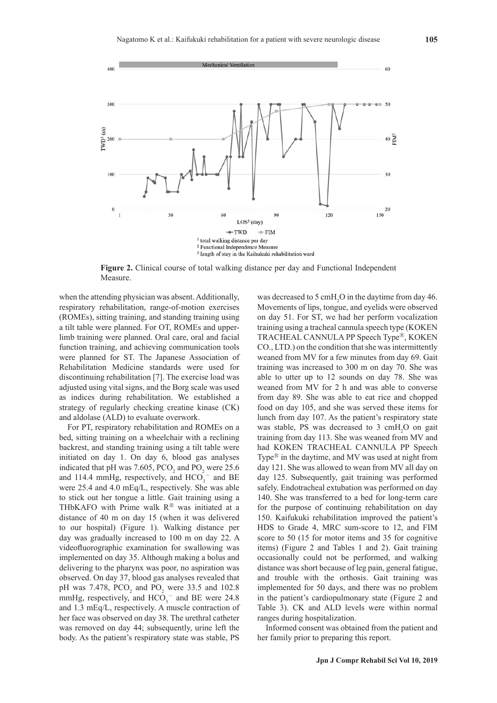

**Figure 2.** Clinical course of total walking distance per day and Functional Independent Measure.

when the attending physician was absent. Additionally, respiratory rehabilitation, range-of-motion exercises (ROMEs), sitting training, and standing training using a tilt table were planned. For OT, ROMEs and upperlimb training were planned. Oral care, oral and facial function training, and achieving communication tools were planned for ST. The Japanese Association of Rehabilitation Medicine standards were used for discontinuing rehabilitation [7]. The exercise load was adjusted using vital signs, and the Borg scale was used as indices during rehabilitation. We established a strategy of regularly checking creatine kinase (CK) and aldolase (ALD) to evaluate overwork.

For PT, respiratory rehabilitation and ROMEs on a bed, sitting training on a wheelchair with a reclining backrest, and standing training using a tilt table were initiated on day 1. On day 6, blood gas analyses indicated that pH was 7.605,  $PCO_2$  and  $PO_2$  were 25.6 and 114.4 mmHg, respectively, and  $HCO_3^-$  and BE were 25.4 and 4.0 mEq/L, respectively. She was able to stick out her tongue a little. Gait training using a THbKAFO with Prime walk  $R^{\textcircled{B}}$  was initiated at a distance of 40 m on day 15 (when it was delivered to our hospital) (Figure 1). Walking distance per day was gradually increased to 100 m on day 22. A videofluorographic examination for swallowing was implemented on day 35. Although making a bolus and delivering to the pharynx was poor, no aspiration was observed. On day 37, blood gas analyses revealed that pH was 7.478,  $PCO_2$  and  $PO_2$  were 33.5 and 102.8 mmHg, respectively, and  $HCO_3^-$  and BE were 24.8 and 1.3 mEq/L, respectively. A muscle contraction of her face was observed on day 38. The urethral catheter was removed on day 44; subsequently, urine left the body. As the patient's respiratory state was stable, PS

was decreased to 5 cmH<sub>2</sub>O in the daytime from day 46. Movements of lips, tongue, and eyelids were observed on day 51. For ST, we had her perform vocalization training using a tracheal cannula speech type (KOKEN TRACHEAL CANNULA PP Speech Type<sup>®</sup>, KOKEN CO., LTD.) on the condition that she was intermittently weaned from MV for a few minutes from day 69. Gait training was increased to 300 m on day 70. She was able to utter up to 12 sounds on day 78. She was weaned from MV for 2 h and was able to converse from day 89. She was able to eat rice and chopped food on day 105, and she was served these items for lunch from day 107. As the patient's respiratory state was stable, PS was decreased to 3 cmH<sub>2</sub>O on gait training from day 113. She was weaned from MV and had KOKEN TRACHEAL CANNULA PP Speech Type $\mathbb{R}$  in the daytime, and MV was used at night from day 121. She was allowed to wean from MV all day on day 125. Subsequently, gait training was performed safely. Endotracheal extubation was performed on day 140. She was transferred to a bed for long-term care for the purpose of continuing rehabilitation on day 150. Kaifukuki rehabilitation improved the patient's HDS to Grade 4, MRC sum-score to 12, and FIM score to 50 (15 for motor items and 35 for cognitive items) (Figure 2 and Tables 1 and 2). Gait training occasionally could not be performed, and walking distance was short because of leg pain, general fatigue, and trouble with the orthosis. Gait training was implemented for 50 days, and there was no problem in the patient's cardiopulmonary state (Figure 2 and Table 3). CK and ALD levels were within normal ranges during hospitalization.

Informed consent was obtained from the patient and her family prior to preparing this report.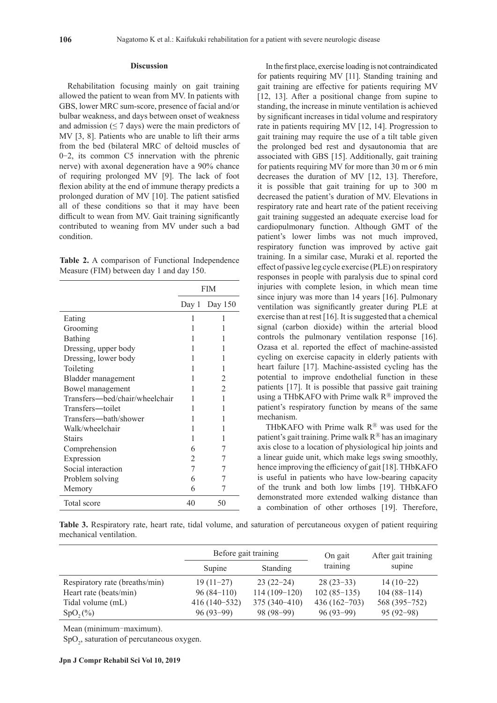### **Discussion**

Rehabilitation focusing mainly on gait training allowed the patient to wean from MV. In patients with GBS, lower MRC sum-score, presence of facial and/or bulbar weakness, and days between onset of weakness and admission  $(≤ 7 \text{ days})$  were the main predictors of MV [3, 8]. Patients who are unable to lift their arms from the bed (bilateral MRC of deltoid muscles of 0‐2, its common C5 innervation with the phrenic nerve) with axonal degeneration have a 90% chance of requiring prolonged MV [9]. The lack of foot flexion ability at the end of immune therapy predicts a prolonged duration of MV [10]. The patient satisfied all of these conditions so that it may have been difficult to wean from MV. Gait training significantly contributed to weaning from MV under such a bad condition.

|                                          | Table 2. A comparison of Functional Independence |
|------------------------------------------|--------------------------------------------------|
| Measure (FIM) between day 1 and day 150. |                                                  |

|                                | <b>FIM</b> |                 |
|--------------------------------|------------|-----------------|
|                                |            | Day 1 Day $150$ |
| Eating                         | 1          | 1               |
| Grooming                       |            |                 |
| Bathing                        |            |                 |
| Dressing, upper body           |            |                 |
| Dressing, lower body           |            |                 |
| Toileting                      |            |                 |
| Bladder management             |            | 2               |
| Bowel management               | 1          | $\overline{2}$  |
| Transfers—bed/chair/wheelchair |            | 1               |
| Transfers—toilet               |            | 1               |
| Transfers—bath/shower          | 1          | 1               |
| Walk/wheelchair                |            |                 |
| <b>Stairs</b>                  |            |                 |
| Comprehension                  | 6          | 7               |
| Expression                     | 2          | 7               |
| Social interaction             | 7          | 7               |
| Problem solving                | 6          | 7               |
| Memory                         | 6          |                 |
| Total score                    | 40         | 50              |

In the first place, exercise loading is not contraindicated for patients requiring MV [11]. Standing training and gait training are effective for patients requiring MV [12, 13]. After a positional change from supine to standing, the increase in minute ventilation is achieved by significant increases in tidal volume and respiratory rate in patients requiring MV [12, 14]. Progression to gait training may require the use of a tilt table given the prolonged bed rest and dysautonomia that are associated with GBS [15]. Additionally, gait training for patients requiring MV for more than 30 m or 6 min decreases the duration of MV [12, 13]. Therefore, it is possible that gait training for up to 300 m decreased the patient's duration of MV. Elevations in respiratory rate and heart rate of the patient receiving gait training suggested an adequate exercise load for cardiopulmonary function. Although GMT of the patient's lower limbs was not much improved, respiratory function was improved by active gait training. In a similar case, Muraki et al. reported the effect of passive leg cycle exercise (PLE) on respiratory responses in people with paralysis due to spinal cord injuries with complete lesion, in which mean time since injury was more than 14 years [16]. Pulmonary ventilation was significantly greater during PLE at exercise than at rest [16]. It is suggested that a chemical signal (carbon dioxide) within the arterial blood controls the pulmonary ventilation response [16]. Ozasa et al. reported the effect of machine-assisted cycling on exercise capacity in elderly patients with heart failure [17]. Machine-assisted cycling has the potential to improve endothelial function in these patients [17]. It is possible that passive gait training using a THbKAFO with Prime walk  $\mathbb{R}^{\circledR}$  improved the patient's respiratory function by means of the same mechanism.

THbKAFO with Prime walk  $R^{\textcircled{\tiny{\textregistered}}}$  was used for the patient's gait training. Prime walk  $R^{\circledR}$  has an imaginary axis close to a location of physiological hip joints and a linear guide unit, which make legs swing smoothly, hence improving the efficiency of gait [18]. THbKAFO is useful in patients who have low-bearing capacity of the trunk and both low limbs [19]. THbKAFO demonstrated more extended walking distance than a combination of other orthoses [19]. Therefore,

**Table 3.** Respiratory rate, heart rate, tidal volume, and saturation of percutaneous oxygen of patient requiring mechanical ventilation.

|                                | Before gait training |                | On gait        | After gait training |
|--------------------------------|----------------------|----------------|----------------|---------------------|
|                                | Supine               | Standing       | training       | supine              |
| Respiratory rate (breaths/min) | $19(11-27)$          | $23(22-24)$    | $28(23-33)$    | $14(10-22)$         |
| Heart rate (beats/min)         | $96(84-110)$         | $114(109-120)$ | $102(85-135)$  | $104(88-114)$       |
| Tidal volume (mL)              | $416(140-532)$       | $375(340-410)$ | $436(162-703)$ | 568 (395-752)       |
| $SpO_{2}(%)$                   | $96(93-99)$          | $98(98-99)$    | $96(93-99)$    | $95(92-98)$         |

Mean (minimum-maximum).

 $SpO<sub>2</sub>$ , saturation of percutaneous oxygen.